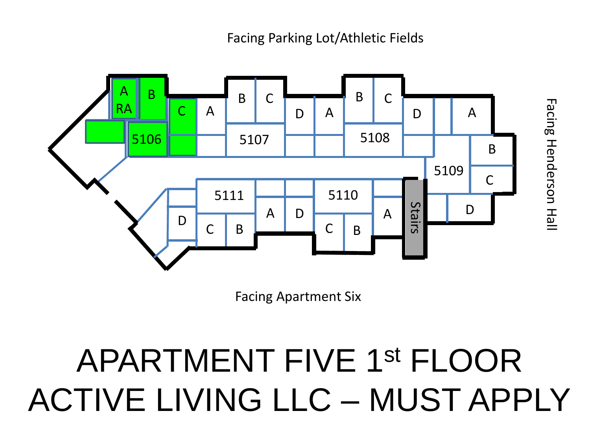

Facing Henderson Hall Facing Henderson Hall

Facing Apartment Six

## APARTMENT FIVE 1st FLOOR ACTIVE LIVING LLC – MUST APPLY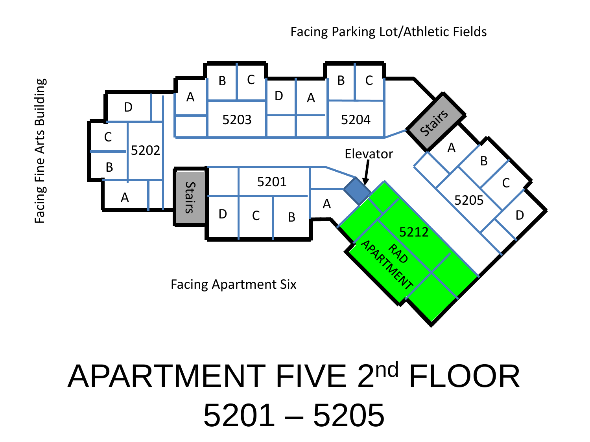

### APARTMENT FIVE 2nd FLOOR 5201 – 5205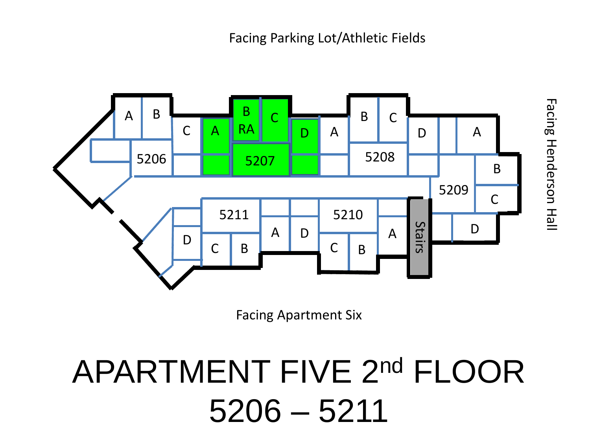

Facing Apartment Six

# APARTMENT FIVE 2nd FLOOR 5206 – 5211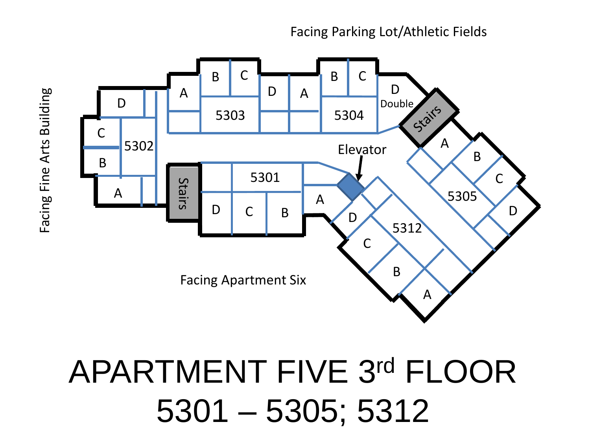

## APARTMENT FIVE 3rd FLOOR 5301 – 5305; 5312

Facing Fine Arts Building Facing Fine Arts Building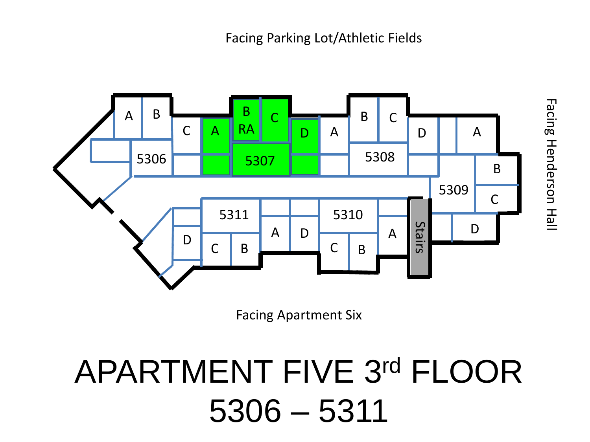

Facing Apartment Six

# APARTMENT FIVE 3rd FLOOR 5306 – 5311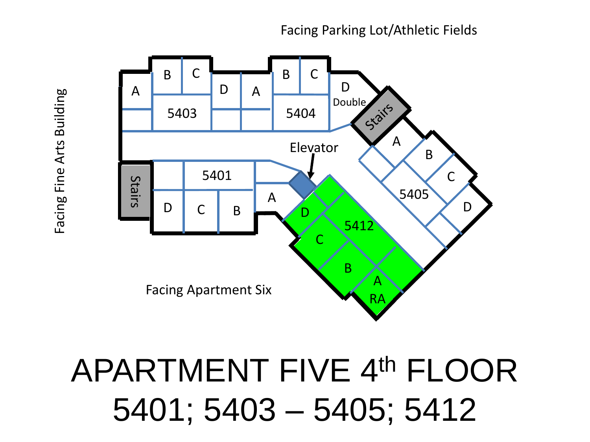

APARTMENT FIVE 4th FLOOR 5401; 5403 – 5405; 5412